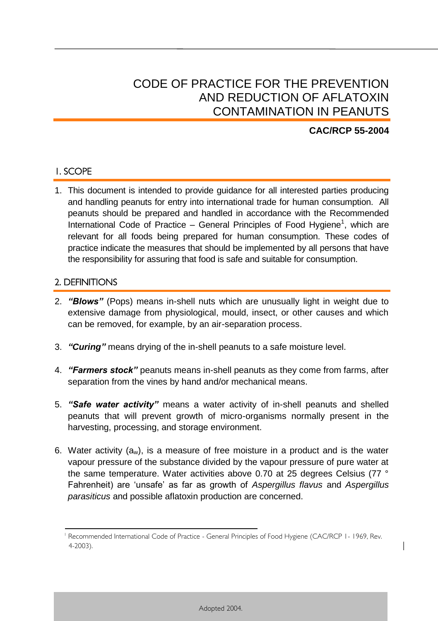# CODE OF PRACTICE FOR THE PREVENTION AND REDUCTION OF AFLATOXIN CONTAMINATION IN PEANUTS

# **CAC/RCP 55-2004**

1

# 1. SCOPE

1. This document is intended to provide guidance for all interested parties producing and handling peanuts for entry into international trade for human consumption. All peanuts should be prepared and handled in accordance with the Recommended International Code of Practice – General Principles of Food Hygiene<sup>1</sup>, which are relevant for all foods being prepared for human consumption. These codes of practice indicate the measures that should be implemented by all persons that have the responsibility for assuring that food is safe and suitable for consumption.

### 2. DEFINITIONS

- 2. *"Blows"* (Pops) means in-shell nuts which are unusually light in weight due to extensive damage from physiological, mould, insect, or other causes and which can be removed, for example, by an air-separation process.
- 3. *"Curing"* means drying of the in-shell peanuts to a safe moisture level.
- 4. *"Farmers stock"* peanuts means in-shell peanuts as they come from farms, after separation from the vines by hand and/or mechanical means.
- 5. *"Safe water activity"* means a water activity of in-shell peanuts and shelled peanuts that will prevent growth of micro-organisms normally present in the harvesting, processing, and storage environment.
- 6. Water activity  $(a_w)$ , is a measure of free moisture in a product and is the water vapour pressure of the substance divided by the vapour pressure of pure water at the same temperature. Water activities above 0.70 at 25 degrees Celsius (77 ° Fahrenheit) are 'unsafe' as far as growth of *Aspergillus flavus* and *Aspergillus parasiticus* and possible aflatoxin production are concerned.

<sup>&</sup>lt;sup>1</sup> Recommended International Code of Practice - General Principles of Food Hygiene (CAC/RCP 1-1969, Rev. 4-2003).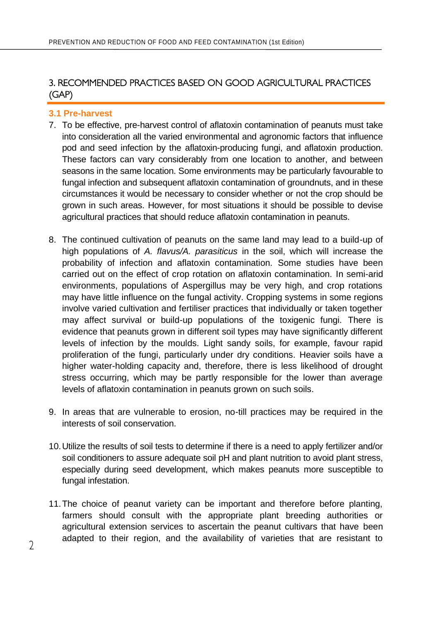# 3. RECOMMENDED PRACTICES BASED ON GOOD AGRICULTURAL PRACTICES (GAP)

#### **3.1 Pre-harvest**

- 7. To be effective, pre-harvest control of aflatoxin contamination of peanuts must take into consideration all the varied environmental and agronomic factors that influence pod and seed infection by the aflatoxin-producing fungi, and aflatoxin production. These factors can vary considerably from one location to another, and between seasons in the same location. Some environments may be particularly favourable to fungal infection and subsequent aflatoxin contamination of groundnuts, and in these circumstances it would be necessary to consider whether or not the crop should be grown in such areas. However, for most situations it should be possible to devise agricultural practices that should reduce aflatoxin contamination in peanuts.
- 8. The continued cultivation of peanuts on the same land may lead to a build-up of high populations of *A. flavus/A. parasiticus* in the soil, which will increase the probability of infection and aflatoxin contamination. Some studies have been carried out on the effect of crop rotation on aflatoxin contamination. In semi-arid environments, populations of Aspergillus may be very high, and crop rotations may have little influence on the fungal activity. Cropping systems in some regions involve varied cultivation and fertiliser practices that individually or taken together may affect survival or build-up populations of the toxigenic fungi. There is evidence that peanuts grown in different soil types may have significantly different levels of infection by the moulds. Light sandy soils, for example, favour rapid proliferation of the fungi, particularly under dry conditions. Heavier soils have a higher water-holding capacity and, therefore, there is less likelihood of drought stress occurring, which may be partly responsible for the lower than average levels of aflatoxin contamination in peanuts grown on such soils.
- 9. In areas that are vulnerable to erosion, no-till practices may be required in the interests of soil conservation.
- 10.Utilize the results of soil tests to determine if there is a need to apply fertilizer and/or soil conditioners to assure adequate soil pH and plant nutrition to avoid plant stress, especially during seed development, which makes peanuts more susceptible to fungal infestation.
- 11.The choice of peanut variety can be important and therefore before planting, farmers should consult with the appropriate plant breeding authorities or agricultural extension services to ascertain the peanut cultivars that have been adapted to their region, and the availability of varieties that are resistant to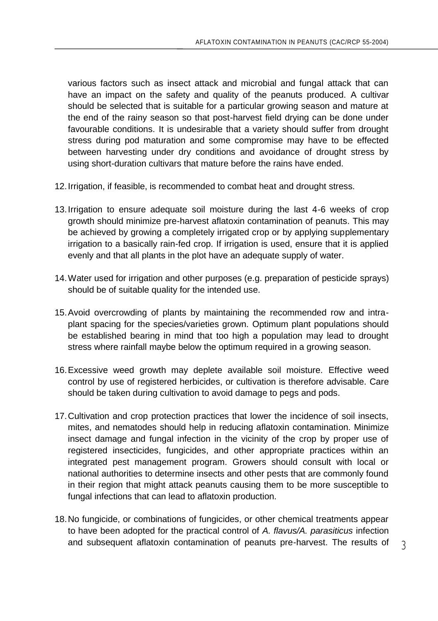various factors such as insect attack and microbial and fungal attack that can have an impact on the safety and quality of the peanuts produced. A cultivar should be selected that is suitable for a particular growing season and mature at the end of the rainy season so that post-harvest field drying can be done under favourable conditions. It is undesirable that a variety should suffer from drought stress during pod maturation and some compromise may have to be effected between harvesting under dry conditions and avoidance of drought stress by using short-duration cultivars that mature before the rains have ended.

- 12.Irrigation, if feasible, is recommended to combat heat and drought stress.
- 13.Irrigation to ensure adequate soil moisture during the last 4-6 weeks of crop growth should minimize pre-harvest aflatoxin contamination of peanuts. This may be achieved by growing a completely irrigated crop or by applying supplementary irrigation to a basically rain-fed crop. If irrigation is used, ensure that it is applied evenly and that all plants in the plot have an adequate supply of water.
- 14.Water used for irrigation and other purposes (e.g. preparation of pesticide sprays) should be of suitable quality for the intended use.
- 15.Avoid overcrowding of plants by maintaining the recommended row and intraplant spacing for the species/varieties grown. Optimum plant populations should be established bearing in mind that too high a population may lead to drought stress where rainfall maybe below the optimum required in a growing season.
- 16.Excessive weed growth may deplete available soil moisture. Effective weed control by use of registered herbicides, or cultivation is therefore advisable. Care should be taken during cultivation to avoid damage to pegs and pods.
- 17.Cultivation and crop protection practices that lower the incidence of soil insects, mites, and nematodes should help in reducing aflatoxin contamination. Minimize insect damage and fungal infection in the vicinity of the crop by proper use of registered insecticides, fungicides, and other appropriate practices within an integrated pest management program. Growers should consult with local or national authorities to determine insects and other pests that are commonly found in their region that might attack peanuts causing them to be more susceptible to fungal infections that can lead to aflatoxin production.
- 18.No fungicide, or combinations of fungicides, or other chemical treatments appear to have been adopted for the practical control of *A. flavus/A. parasiticus* infection and subsequent aflatoxin contamination of peanuts pre-harvest. The results of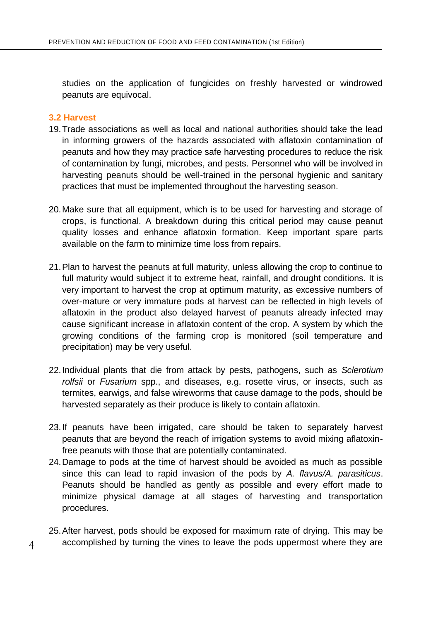studies on the application of fungicides on freshly harvested or windrowed peanuts are equivocal.

#### **3.2 Harvest**

- 19.Trade associations as well as local and national authorities should take the lead in informing growers of the hazards associated with aflatoxin contamination of peanuts and how they may practice safe harvesting procedures to reduce the risk of contamination by fungi, microbes, and pests. Personnel who will be involved in harvesting peanuts should be well-trained in the personal hygienic and sanitary practices that must be implemented throughout the harvesting season.
- 20.Make sure that all equipment, which is to be used for harvesting and storage of crops, is functional. A breakdown during this critical period may cause peanut quality losses and enhance aflatoxin formation. Keep important spare parts available on the farm to minimize time loss from repairs.
- 21.Plan to harvest the peanuts at full maturity, unless allowing the crop to continue to full maturity would subject it to extreme heat, rainfall, and drought conditions. It is very important to harvest the crop at optimum maturity, as excessive numbers of over-mature or very immature pods at harvest can be reflected in high levels of aflatoxin in the product also delayed harvest of peanuts already infected may cause significant increase in aflatoxin content of the crop. A system by which the growing conditions of the farming crop is monitored (soil temperature and precipitation) may be very useful.
- 22.Individual plants that die from attack by pests, pathogens, such as *Sclerotium rolfsii* or *Fusarium* spp., and diseases, e.g. rosette virus, or insects, such as termites, earwigs, and false wireworms that cause damage to the pods, should be harvested separately as their produce is likely to contain aflatoxin.
- 23.If peanuts have been irrigated, care should be taken to separately harvest peanuts that are beyond the reach of irrigation systems to avoid mixing aflatoxinfree peanuts with those that are potentially contaminated.
- 24.Damage to pods at the time of harvest should be avoided as much as possible since this can lead to rapid invasion of the pods by *A. flavus/A. parasiticus*. Peanuts should be handled as gently as possible and every effort made to minimize physical damage at all stages of harvesting and transportation procedures.

25.After harvest, pods should be exposed for maximum rate of drying. This may be accomplished by turning the vines to leave the pods uppermost where they are

4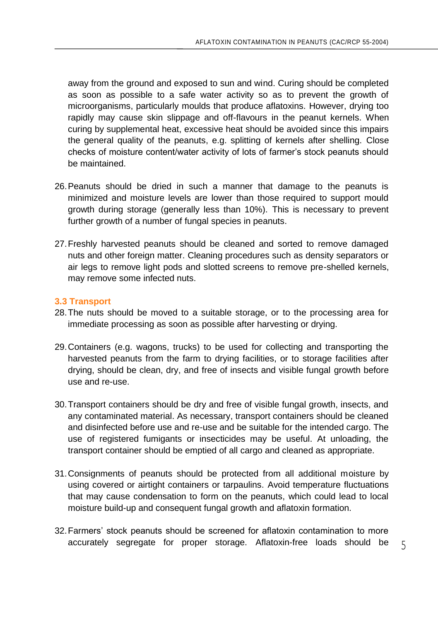away from the ground and exposed to sun and wind. Curing should be completed as soon as possible to a safe water activity so as to prevent the growth of microorganisms, particularly moulds that produce aflatoxins. However, drying too rapidly may cause skin slippage and off-flavours in the peanut kernels. When curing by supplemental heat, excessive heat should be avoided since this impairs the general quality of the peanuts, e.g. splitting of kernels after shelling. Close checks of moisture content/water activity of lots of farmer's stock peanuts should be maintained.

- 26.Peanuts should be dried in such a manner that damage to the peanuts is minimized and moisture levels are lower than those required to support mould growth during storage (generally less than 10%). This is necessary to prevent further growth of a number of fungal species in peanuts.
- 27.Freshly harvested peanuts should be cleaned and sorted to remove damaged nuts and other foreign matter. Cleaning procedures such as density separators or air legs to remove light pods and slotted screens to remove pre-shelled kernels, may remove some infected nuts.

#### **3.3 Transport**

- 28.The nuts should be moved to a suitable storage, or to the processing area for immediate processing as soon as possible after harvesting or drying.
- 29.Containers (e.g. wagons, trucks) to be used for collecting and transporting the harvested peanuts from the farm to drying facilities, or to storage facilities after drying, should be clean, dry, and free of insects and visible fungal growth before use and re-use.
- 30.Transport containers should be dry and free of visible fungal growth, insects, and any contaminated material. As necessary, transport containers should be cleaned and disinfected before use and re-use and be suitable for the intended cargo. The use of registered fumigants or insecticides may be useful. At unloading, the transport container should be emptied of all cargo and cleaned as appropriate.
- 31.Consignments of peanuts should be protected from all additional moisture by using covered or airtight containers or tarpaulins. Avoid temperature fluctuations that may cause condensation to form on the peanuts, which could lead to local moisture build-up and consequent fungal growth and aflatoxin formation.
- 32.Farmers' stock peanuts should be screened for aflatoxin contamination to more accurately segregate for proper storage. Aflatoxin-free loads should be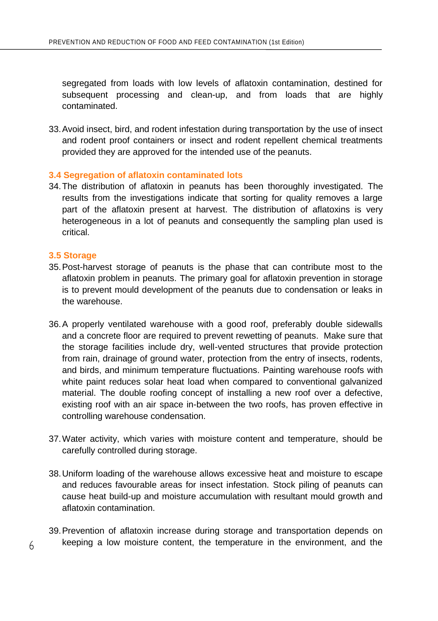segregated from loads with low levels of aflatoxin contamination, destined for subsequent processing and clean-up, and from loads that are highly contaminated.

33.Avoid insect, bird, and rodent infestation during transportation by the use of insect and rodent proof containers or insect and rodent repellent chemical treatments provided they are approved for the intended use of the peanuts.

#### **3.4 Segregation of aflatoxin contaminated lots**

34.The distribution of aflatoxin in peanuts has been thoroughly investigated. The results from the investigations indicate that sorting for quality removes a large part of the aflatoxin present at harvest. The distribution of aflatoxins is very heterogeneous in a lot of peanuts and consequently the sampling plan used is critical.

#### **3.5 Storage**

- 35.Post-harvest storage of peanuts is the phase that can contribute most to the aflatoxin problem in peanuts. The primary goal for aflatoxin prevention in storage is to prevent mould development of the peanuts due to condensation or leaks in the warehouse.
- 36.A properly ventilated warehouse with a good roof, preferably double sidewalls and a concrete floor are required to prevent rewetting of peanuts. Make sure that the storage facilities include dry, well-vented structures that provide protection from rain, drainage of ground water, protection from the entry of insects, rodents, and birds, and minimum temperature fluctuations. Painting warehouse roofs with white paint reduces solar heat load when compared to conventional galvanized material. The double roofing concept of installing a new roof over a defective, existing roof with an air space in-between the two roofs, has proven effective in controlling warehouse condensation.
- 37.Water activity, which varies with moisture content and temperature, should be carefully controlled during storage.
- 38.Uniform loading of the warehouse allows excessive heat and moisture to escape and reduces favourable areas for insect infestation. Stock piling of peanuts can cause heat build-up and moisture accumulation with resultant mould growth and aflatoxin contamination.
- 39.Prevention of aflatoxin increase during storage and transportation depends on keeping a low moisture content, the temperature in the environment, and the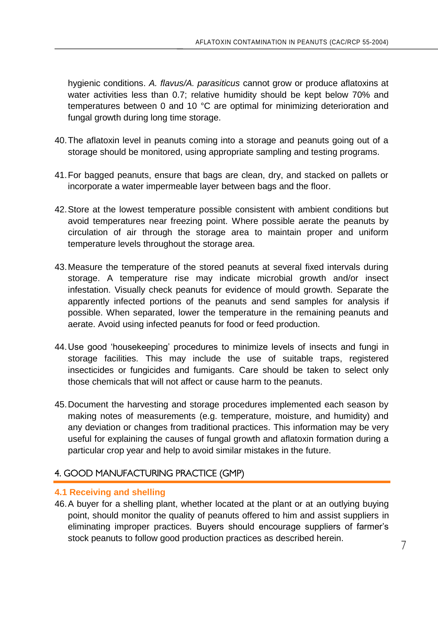hygienic conditions. *A. flavus/A. parasiticus* cannot grow or produce aflatoxins at water activities less than 0.7; relative humidity should be kept below 70% and temperatures between 0 and 10 °C are optimal for minimizing deterioration and fungal growth during long time storage.

- 40.The aflatoxin level in peanuts coming into a storage and peanuts going out of a storage should be monitored, using appropriate sampling and testing programs.
- 41.For bagged peanuts, ensure that bags are clean, dry, and stacked on pallets or incorporate a water impermeable layer between bags and the floor.
- 42.Store at the lowest temperature possible consistent with ambient conditions but avoid temperatures near freezing point. Where possible aerate the peanuts by circulation of air through the storage area to maintain proper and uniform temperature levels throughout the storage area.
- 43.Measure the temperature of the stored peanuts at several fixed intervals during storage. A temperature rise may indicate microbial growth and/or insect infestation. Visually check peanuts for evidence of mould growth. Separate the apparently infected portions of the peanuts and send samples for analysis if possible. When separated, lower the temperature in the remaining peanuts and aerate. Avoid using infected peanuts for food or feed production.
- 44.Use good 'housekeeping' procedures to minimize levels of insects and fungi in storage facilities. This may include the use of suitable traps, registered insecticides or fungicides and fumigants. Care should be taken to select only those chemicals that will not affect or cause harm to the peanuts.
- 45.Document the harvesting and storage procedures implemented each season by making notes of measurements (e.g. temperature, moisture, and humidity) and any deviation or changes from traditional practices. This information may be very useful for explaining the causes of fungal growth and aflatoxin formation during a particular crop year and help to avoid similar mistakes in the future.

# 4. GOOD MANUFACTURING PRACTICE (GMP)

### **4.1 Receiving and shelling**

46.A buyer for a shelling plant, whether located at the plant or at an outlying buying point, should monitor the quality of peanuts offered to him and assist suppliers in eliminating improper practices. Buyers should encourage suppliers of farmer's stock peanuts to follow good production practices as described herein.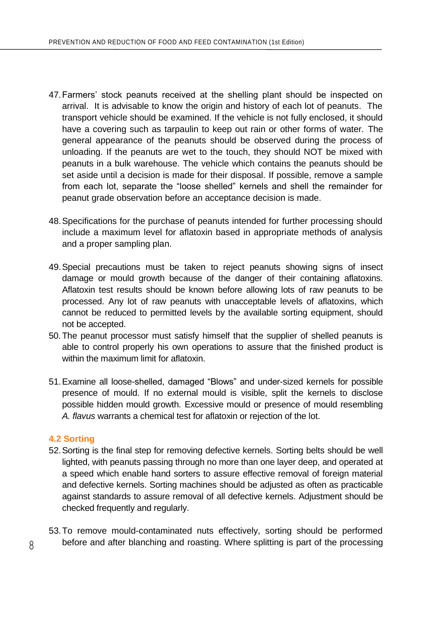- 47.Farmers' stock peanuts received at the shelling plant should be inspected on arrival. It is advisable to know the origin and history of each lot of peanuts. The transport vehicle should be examined. If the vehicle is not fully enclosed, it should have a covering such as tarpaulin to keep out rain or other forms of water. The general appearance of the peanuts should be observed during the process of unloading. If the peanuts are wet to the touch, they should NOT be mixed with peanuts in a bulk warehouse. The vehicle which contains the peanuts should be set aside until a decision is made for their disposal. If possible, remove a sample from each lot, separate the "loose shelled" kernels and shell the remainder for peanut grade observation before an acceptance decision is made.
- 48.Specifications for the purchase of peanuts intended for further processing should include a maximum level for aflatoxin based in appropriate methods of analysis and a proper sampling plan.
- 49.Special precautions must be taken to reject peanuts showing signs of insect damage or mould growth because of the danger of their containing aflatoxins. Aflatoxin test results should be known before allowing lots of raw peanuts to be processed. Any lot of raw peanuts with unacceptable levels of aflatoxins, which cannot be reduced to permitted levels by the available sorting equipment, should not be accepted.
- 50.The peanut processor must satisfy himself that the supplier of shelled peanuts is able to control properly his own operations to assure that the finished product is within the maximum limit for aflatoxin.
- 51.Examine all loose-shelled, damaged "Blows" and under-sized kernels for possible presence of mould. If no external mould is visible, split the kernels to disclose possible hidden mould growth. Excessive mould or presence of mould resembling *A. flavus* warrants a chemical test for aflatoxin or rejection of the lot.

### **4.2 Sorting**

- 52.Sorting is the final step for removing defective kernels. Sorting belts should be well lighted, with peanuts passing through no more than one layer deep, and operated at a speed which enable hand sorters to assure effective removal of foreign material and defective kernels. Sorting machines should be adjusted as often as practicable against standards to assure removal of all defective kernels. Adjustment should be checked frequently and regularly.
- 53.To remove mould-contaminated nuts effectively, sorting should be performed before and after blanching and roasting. Where splitting is part of the processing

8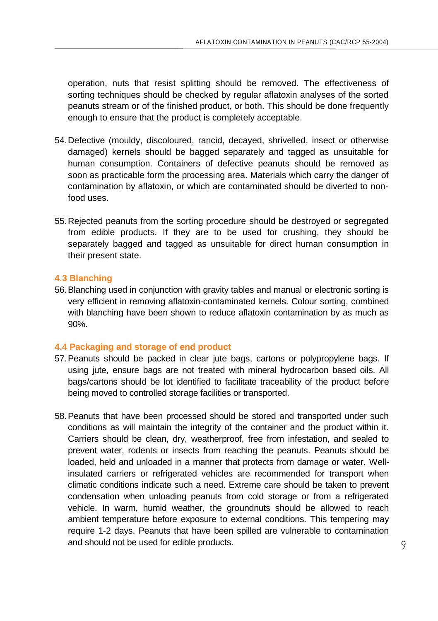operation, nuts that resist splitting should be removed. The effectiveness of sorting techniques should be checked by regular aflatoxin analyses of the sorted peanuts stream or of the finished product, or both. This should be done frequently enough to ensure that the product is completely acceptable.

- 54.Defective (mouldy, discoloured, rancid, decayed, shrivelled, insect or otherwise damaged) kernels should be bagged separately and tagged as unsuitable for human consumption. Containers of defective peanuts should be removed as soon as practicable form the processing area. Materials which carry the danger of contamination by aflatoxin, or which are contaminated should be diverted to nonfood uses.
- 55.Rejected peanuts from the sorting procedure should be destroyed or segregated from edible products. If they are to be used for crushing, they should be separately bagged and tagged as unsuitable for direct human consumption in their present state.

### **4.3 Blanching**

56.Blanching used in conjunction with gravity tables and manual or electronic sorting is very efficient in removing aflatoxin-contaminated kernels. Colour sorting, combined with blanching have been shown to reduce aflatoxin contamination by as much as 90%.

### **4.4 Packaging and storage of end product**

- 57.Peanuts should be packed in clear jute bags, cartons or polypropylene bags. If using jute, ensure bags are not treated with mineral hydrocarbon based oils. All bags/cartons should be lot identified to facilitate traceability of the product before being moved to controlled storage facilities or transported.
- 58.Peanuts that have been processed should be stored and transported under such conditions as will maintain the integrity of the container and the product within it. Carriers should be clean, dry, weatherproof, free from infestation, and sealed to prevent water, rodents or insects from reaching the peanuts. Peanuts should be loaded, held and unloaded in a manner that protects from damage or water. Wellinsulated carriers or refrigerated vehicles are recommended for transport when climatic conditions indicate such a need. Extreme care should be taken to prevent condensation when unloading peanuts from cold storage or from a refrigerated vehicle. In warm, humid weather, the groundnuts should be allowed to reach ambient temperature before exposure to external conditions. This tempering may require 1-2 days. Peanuts that have been spilled are vulnerable to contamination and should not be used for edible products.